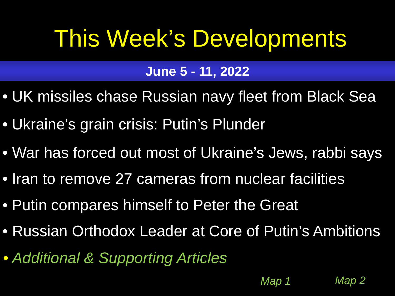# <span id="page-0-0"></span>This Week's Developments

# **June 5 - 11, 2022**

- [UK missiles chase Russian navy fleet from Black Sea](#page-1-0)
- [Ukraine's grain crisis: Putin's Plunder](#page-2-0)
- [War has forced out most of Ukraine's Jews, rabbi says](#page-3-0)
- [Iran to remove 27 cameras from nuclear facilities](#page-4-0)
- [Putin compares himself to Peter the Great](#page-5-0)
- [Russian Orthodox Leader at Core of Putin's Ambitions](#page-6-0)

*[Map 1](#page-8-0) [Map 2](#page-9-0)*

• *[Additional & Supporting Articles](#page-7-0)*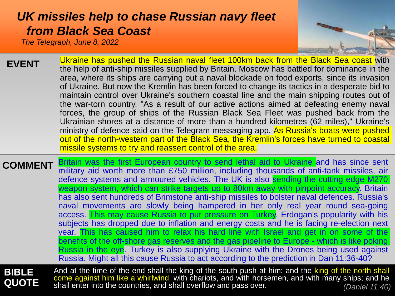## <span id="page-1-0"></span>*[UK missiles help to chase Russian navy fleet](#page-0-0)  from Black Sea Coast*

*The Telegraph, June 8, 2022*



| <b>EVENT</b> | Ukraine has pushed the Russian naval fleet 100km back from the Black Sea coast with<br>the help of anti-ship missiles supplied by Britain. Moscow has battled for dominance in the<br>area, where its ships are carrying out a naval blockade on food exports, since its invasion<br>of Ukraine. But now the Kremlin has been forced to change its tactics in a desperate bid to<br>maintain control over Ukraine's southern coastal line and the main shipping routes out of<br>the war-torn country. "As a result of our active actions aimed at defeating enemy naval<br>forces, the group of ships of the Russian Black Sea Fleet was pushed back from the<br>Ukrainian shores at a distance of more than a hundred kilometres (62 miles)," Ukraine's<br>ministry of defence said on the Telegram messaging app. As Russia's boats were pushed |
|--------------|----------------------------------------------------------------------------------------------------------------------------------------------------------------------------------------------------------------------------------------------------------------------------------------------------------------------------------------------------------------------------------------------------------------------------------------------------------------------------------------------------------------------------------------------------------------------------------------------------------------------------------------------------------------------------------------------------------------------------------------------------------------------------------------------------------------------------------------------------|
|              | out of the north-western part of the Black Sea, the Kremlin's forces have turned to coastal                                                                                                                                                                                                                                                                                                                                                                                                                                                                                                                                                                                                                                                                                                                                                        |
|              | missile systems to try and reassert control of the area.                                                                                                                                                                                                                                                                                                                                                                                                                                                                                                                                                                                                                                                                                                                                                                                           |

**COMMENT** Britain was the first European country to send lethal aid to Ukraine and has since sent military aid worth more than £750 million, including thousands of anti-tank missiles, air defence systems and armoured vehicles. The UK is also sending the cutting edge M270 weapon system, which can strike targets up to 80km away with pinpoint accuracy. Britain has also sent hundreds of Brimstone anti-ship missiles to bolster naval defences. Russia's naval movements are slowly being hampered in her only real year round sea-going access. This may cause Russia to put pressure on Turkey. Erdogan's popularity with his subjects has dropped due to inflation and energy costs and he is facing re-election next year. This has caused him to relax his hard line with Israel and get in on some of the benefits of the off-shore gas reserves and the gas pipeline to Europe - which is like poking Russia in the eye. Turkey is also supplying Ukraine with the Drones being used against Russia. Might all this cause Russia to act according to the prediction in Dan 11:36-40?

**BIBLE QUOTE** And at the time of the end shall the king of the south push at him: and the king of the north shall come against him like a whirlwind, with chariots, and with horsemen, and with many ships; and he shall enter into the countries, and shall overflow and pass over. *(Daniel 11:40)*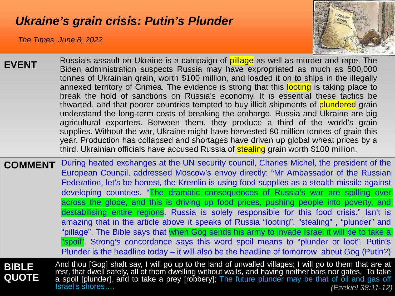## <span id="page-2-0"></span>*[Ukraine's grain crisis: Putin's Plunder](#page-0-0)*

*The Times, June 8, 2022*



**EVENT COMMENT** During heated exchanges at the UN security council, Charles Michel, the president of the European Council, addressed Moscow's envoy directly: "Mr Ambassador of the Russian Russia's assault on Ukraine is a campaign of **pillage** as well as murder and rape. The Biden administration suspects Russia may have expropriated as much as 500,000 tonnes of Ukrainian grain, worth \$100 million, and loaded it on to ships in the illegally annexed territory of Crimea. The evidence is strong that this looting is taking place to break the hold of sanctions on Russia's economy. It is essential these tactics be thwarted, and that poorer countries tempted to buy illicit shipments of plundered grain understand the long-term costs of breaking the embargo. Russia and Ukraine are big agricultural exporters. Between them, they produce a third of the world's grain supplies. Without the war, Ukraine might have harvested 80 million tonnes of grain this year. Production has collapsed and shortages have driven up global wheat prices by a third. Ukrainian officials have accused Russia of stealing grain worth \$100 million.

Federation, let's be honest, the Kremlin is using food supplies as a stealth missile against developing countries. "The dramatic consequences of Russia's war are spilling over across the globe, and this is driving up food prices, pushing people into poverty, and destabilising entire regions. Russia is solely responsible for this food crisis." Isn't is amazing that in the article above it speaks of Russia "looting", "stealing" , "plunder" and "pillage". The Bible says that when Gog sends his army to invade Israel it will be to take a "spoil". Strong's concordance says this word spoil means to "plunder or loot". Putin's Plunder is the headline today – it will also be the headline of tomorrow about Gog (Putin?)

**BIBLE QUOTE**

And thou [Gog] shalt say, I will go up to the land of unwalled villages; I will go to them that are at rest, that dwell safely, all of them dwelling without walls, and having neither bars nor gates, To take a spoil [plunder], and to take a prey [robbery]; The future plunder may be that of oil and gas off Israel's shores…. *(Ezekiel 38:11-12)*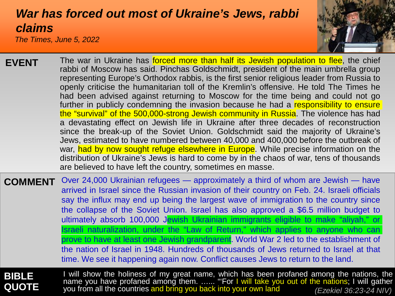# <span id="page-3-0"></span>*[War has forced out most of Ukraine's Jews, rabbi](#page-0-0) claims*

*The Times, June 5, 2022*



| <b>EVENT</b> | The war in Ukraine has forced more than half its Jewish population to flee, the chief<br>rabbi of Moscow has said. Pinchas Goldschmidt, president of the main umbrella group<br>representing Europe's Orthodox rabbis, is the first senior religious leader from Russia to<br>openly criticise the humanitarian toll of the Kremlin's offensive. He told The Times he<br>had been advised against returning to Moscow for the time being and could not go<br>further in publicly condemning the invasion because he had a responsibility to ensure<br>the "survival" of the 500,000-strong Jewish community in Russia. The violence has had<br>a devastating effect on Jewish life in Ukraine after three decades of reconstruction<br>since the break-up of the Soviet Union. Goldschmidt said the majority of Ukraine's<br>Jews, estimated to have numbered between 40,000 and 400,000 before the outbreak of<br>war, had by now sought refuge elsewhere in Europe. While precise information on the<br>distribution of Ukraine's Jews is hard to come by in the chaos of war, tens of thousands<br>are believed to have left the country, sometimes en masse. |
|--------------|------------------------------------------------------------------------------------------------------------------------------------------------------------------------------------------------------------------------------------------------------------------------------------------------------------------------------------------------------------------------------------------------------------------------------------------------------------------------------------------------------------------------------------------------------------------------------------------------------------------------------------------------------------------------------------------------------------------------------------------------------------------------------------------------------------------------------------------------------------------------------------------------------------------------------------------------------------------------------------------------------------------------------------------------------------------------------------------------------------------------------------------------------------------|
|              |                                                                                                                                                                                                                                                                                                                                                                                                                                                                                                                                                                                                                                                                                                                                                                                                                                                                                                                                                                                                                                                                                                                                                                  |

**COMMENT** Over 24,000 Ukrainian refugees — approximately a third of whom are Jewish — have arrived in Israel since the Russian invasion of their country on Feb. 24. Israeli officials say the influx may end up being the largest wave of immigration to the country since the collapse of the Soviet Union. Israel has also approved a \$6.5 million budget to ultimately absorb 100,000 Jewish Ukrainian immigrants eligible to make "aliyah," or Israeli naturalization, under the "Law of Return," which applies to anyone who can prove to have at least one Jewish grandparent. World War 2 led to the establishment of the nation of Israel in 1948. Hundreds of thousands of Jews returned to Israel at that time. We see it happening again now. Conflict causes Jews to return to the land.

### **BIBLE QUOTE**

I will show the holiness of my great name, which has been profaned among the nations, the name you have profaned among them. …... "'For I will take you out of the nations; I will gather you from all the countries and bring you back into your own land *(Ezekiel 36:23-24 NIV)*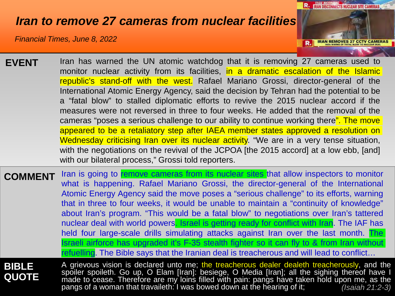## <span id="page-4-0"></span>*[Iran to remove 27 cameras from nuclear facilities](#page-0-0)*

*Financial Times, June 8, 2022*



| <b>EVENT</b> | Iran has warned the UN atomic watchdog that it is removing 27 cameras used to            |
|--------------|------------------------------------------------------------------------------------------|
|              | monitor nuclear activity from its facilities, in a dramatic escalation of the Islamic    |
|              | republic's stand-off with the west. Rafael Mariano Grossi, director-general of the       |
|              | International Atomic Energy Agency, said the decision by Tehran had the potential to be  |
|              | a "fatal blow" to stalled diplomatic efforts to revive the 2015 nuclear accord if the    |
|              | measures were not reversed in three to four weeks. He added that the removal of the      |
|              | cameras "poses a serious challenge to our ability to continue working there". The move   |
|              | appeared to be a retaliatory step after IAEA member states approved a resolution on      |
|              | Wednesday criticising Iran over its nuclear activity. "We are in a very tense situation, |
|              | with the negotiations on the revival of the JCPOA [the 2015 accord] at a low ebb, [and]  |
|              | with our bilateral process," Grossi told reporters.                                      |
|              |                                                                                          |

**COMMENT** Iran is going to remove cameras from its nuclear sites that allow inspectors to monitor what is happening. Rafael Mariano Grossi, the director-general of the International Atomic Energy Agency said the move poses a "serious challenge" to its efforts, warning that in three to four weeks, it would be unable to maintain a "continuity of knowledge" about Iran's program. "This would be a fatal blow" to negotiations over Iran's tattered nuclear deal with world powers. Israel is getting ready for conflict with Iran. The IAF has held four large-scale drills simulating attacks against Iran over the last month. The Israeli airforce has upgraded it's F-35 stealth fighter so it can fly to & from Iran without refuelling. The Bible says that the Iranian deal is treacherous and will lead to conflict...

### **BIBLE QUOTE**

A grievous vision is declared unto me; the treacherous dealer dealeth treacherously, and the spoiler spoileth. Go up, O Elam [Iran]: besiege, O Media [Iran]; all the sighing thereof have I made to cease. Therefore are my loins filled with pain: pangs have taken hold upon me, as the pangs of a woman that travaileth: I was bowed down at the hearing of it; *(Isaiah 21:2-3)*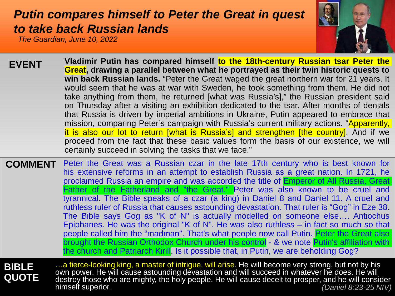## <span id="page-5-0"></span>*[Putin compares himself to Peter the Great in ques](#page-0-0)t to take back Russian lands*

*The Guardian, June 10, 2022*



- **Vladimir Putin has compared himself to the 18th-century Russian tsar Peter the Great, drawing a parallel between what he portrayed as their twin historic quests to win back Russian lands.** "Peter the Great waged the great northern war for 21 years. It would seem that he was at war with Sweden, he took something from them. He did not take anything from them, he returned [what was Russia's]," the Russian president said on Thursday after a visiting an exhibition dedicated to the tsar. After months of denials that Russia is driven by imperial ambitions in Ukraine, Putin appeared to embrace that mission, comparing Peter's campaign with Russia's current military actions. "Apparently, it is also our lot to return [what is Russia's] and strengthen [the country]. And if we proceed from the fact that these basic values form the basis of our existence, we will certainly succeed in solving the tasks that we face." **EVENT**
- **COMMENT** Peter the Great was a Russian czar in the late 17th century who is best known for his extensive reforms in an attempt to establish Russia as a great nation. In 1721, he proclaimed Russia an empire and was accorded the title of **Emperor of All Russia, Great** Father of the Fatherland and "the Great." Peter was also known to be cruel and tyrannical. The Bible speaks of a czar (a king) in Daniel 8 and Daniel 11. A cruel and ruthless ruler of Russia that causes astounding devastation. That ruler is "Gog" in Eze 38. The Bible says Gog as "K of N" is actually modelled on someone else…. Antiochus Epiphanes. He was the original "K of N". He was also ruthless – in fact so much so that people called him the "madman". That's what people now call Putin. Peter the Great also brought the Russian Orthodox Church under his control - & we note Putin's affiliation with the church and Patriarch Kirill. Is it possible that, in Putin, we are beholding Gog?

**BIBLE QUOTE**

…a fierce-looking king, a master of intrigue, will arise. He will become very strong, but not by his own power. He will cause astounding devastation and will succeed in whatever he does. He will destroy those who are mighty, the holy people. He will cause deceit to prosper, and he will consider himself superior. *(Daniel 8:23-25 NIV)*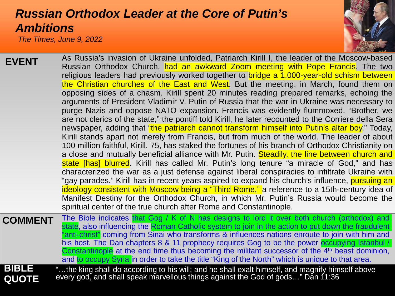## <span id="page-6-0"></span>*[Russian Orthodox Leader at the Core of Putin's](#page-0-0)  Ambitions*

*The Times, June 9, 2022*



| <b>EVENT</b>                 | As Russia's invasion of Ukraine unfolded, Patriarch Kirill I, the leader of the Moscow-based<br>Russian Orthodox Church, had an awkward Zoom meeting with Pope Francis. The two<br>religious leaders had previously worked together to bridge a 1,000-year-old schism between<br>the Christian churches of the East and West. But the meeting, in March, found them on<br>opposing sides of a chasm. Kirill spent 20 minutes reading prepared remarks, echoing the<br>arguments of President Vladimir V. Putin of Russia that the war in Ukraine was necessary to<br>purge Nazis and oppose NATO expansion. Francis was evidently flummoxed. "Brother, we<br>are not clerics of the state," the pontiff told Kirill, he later recounted to the Corriere della Sera<br>newspaper, adding that "the patriarch cannot transform himself into Putin's altar boy." Today,<br>Kirill stands apart not merely from Francis, but from much of the world. The leader of about<br>100 million faithful, Kirill, 75, has staked the fortunes of his branch of Orthodox Christianity on<br>a close and mutually beneficial alliance with Mr. Putin. Steadily, the line between church and<br>state [has] blurred. Kirill has called Mr. Putin's long tenure "a miracle of God," and has<br>characterized the war as a just defense against liberal conspiracies to infiltrate Ukraine with<br>"gay parades." Kirill has in recent years aspired to expand his church's influence, pursuing an<br>ideology consistent with Moscow being a "Third Rome," a reference to a 15th-century idea of<br>Manifest Destiny for the Orthodox Church, in which Mr. Putin's Russia would become the<br>spiritual center of the true church after Rome and Constantinople. |
|------------------------------|--------------------------------------------------------------------------------------------------------------------------------------------------------------------------------------------------------------------------------------------------------------------------------------------------------------------------------------------------------------------------------------------------------------------------------------------------------------------------------------------------------------------------------------------------------------------------------------------------------------------------------------------------------------------------------------------------------------------------------------------------------------------------------------------------------------------------------------------------------------------------------------------------------------------------------------------------------------------------------------------------------------------------------------------------------------------------------------------------------------------------------------------------------------------------------------------------------------------------------------------------------------------------------------------------------------------------------------------------------------------------------------------------------------------------------------------------------------------------------------------------------------------------------------------------------------------------------------------------------------------------------------------------------------------------------------------------------------------------------------------------|
| <b>COMMENT</b>               | The Bible indicates that Gog / K of N has designs to lord it over both church (orthodox) and<br>state, also influencing the Roman Catholic system to join in the action to put down the fraudulent<br>"anti-christ" coming from Sinai who transforms & influences nations enroute to join with him and<br>his host. The Dan chapters 8 & 11 prophecy requires Gog to be the power occupying Istanbul /<br>Constantinople at the end time thus becoming the militant successor of the 4 <sup>th</sup> beast dominion,<br>and to occupy Syria in order to take the title "King of the North" which is unique to that area.                                                                                                                                                                                                                                                                                                                                                                                                                                                                                                                                                                                                                                                                                                                                                                                                                                                                                                                                                                                                                                                                                                                         |
| <b>BIBLE</b><br><b>QUOTE</b> | "the king shall do according to his will; and he shall exalt himself, and magnify himself above<br>every god, and shall speak marvellous things against the God of gods" Dan 11:36                                                                                                                                                                                                                                                                                                                                                                                                                                                                                                                                                                                                                                                                                                                                                                                                                                                                                                                                                                                                                                                                                                                                                                                                                                                                                                                                                                                                                                                                                                                                                               |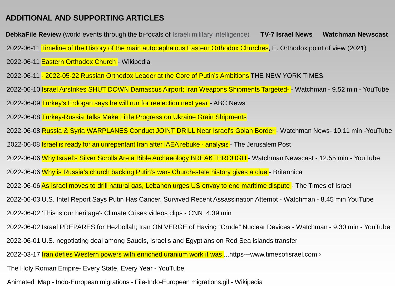#### <span id="page-7-0"></span>**[ADDITIONAL AND SUPPORTING ARTICLES](#page-0-0)**

**DebkaFile Review** [\(world events through the bi-focals of Israeli military intelligence\)](https://www.debka.com/review/) [TV-7 Israel News](https://www.youtube.com/watch?v=gzvrBjIeGP4) Watchman Newscast [2022-06-02 'This is our heritage'-](https://www.cnn.com/videos/us/2022/06/02/outer-banks-north-carolina-climate-change-erosion-weir-dnt-newday-vpx.cnn) Climate Crises videos clips - CNN 4.39 min [2022-06-08 Turkey-Russia Talks Make Little Progress on Ukraine Grain Shipments](https://www.voanews.com/a/turkey-russia-talks-make-little-progress-on-ukraine-grain-shipments/6608703.html) Animated Map - Indo-European migrations - [File-Indo-European migrations.gif -](https://en.wikipedia.org/wiki/File:Indo-European_migrations.gif#/media/File:Indo-European_migrations.gif) Wikipedia [2022-06-10 Israel Airstrikes SHUT DOWN Damascus Airport; Iran Weapons Shipments Targeted- -](https://www.youtube.com/watch?v=7XY5gdjo5DQ) Watchman - 9.52 min - YouTube [2022-06-06 Why is Russia's church backing Putin's war-](https://www.britannica.com/story/why-is-russias-church-backing-putins-warchurch-statehistory-gives-aclue) Church-state history gives a clue - Britannica [2022-06-09 Turkey's Erdogan says he will run for reelection next year -](https://abcnews.go.com/International/wireStory/turkeys-erdogan-run-reelection-year-85285114) ABC News [2022-06-06 Why Israel's Silver Scrolls Are a Bible Archaeology BREAKTHROUGH -](https://www.youtube.com/watch?v=9eabHxfaL2E) Watchman Newscast - 12.55 min - YouTube [2022-06-01 U.S. negotiating deal among Saudis, Israelis and Egyptians on Red Sea islands transfer](https://www.axios.com/2022/05/23/saudi-arabia-egypt-israel-red-sea-islands) [2022-06-02 Israel PREPARES for Hezbollah; Iran ON VERGE of Having "Crude" Nuclear Devices -](https://www.youtube.com/watch?v=gjsl54XUbz4) Watchman - 9.30 min - YouTube [2022-06-11 Timeline of the History of the main autocephalous Eastern Orthodox Churches, E. Orthodox point of view \(2021\)](https://en.wikipedia.org/wiki/Eastern_Orthodox_Church/media/File:Timeline_of_the_History_of_the_main_autocephalous_Eastern_Orthodox_Churches,_E._Orthodox_point_of_view_(2021).svg) [2022-06-03 U.S. Intel Report Says Putin Has Cancer, Survived Recent Assassination Attempt -](https://www.youtube.com/watch?v=ZYTPUq-tUmw) Watchman - 8.45 min YouTube [The Holy Roman Empire-](https://www.youtube.com/watch?v=_DzOH98Q6TQ&t=95s) Every State, Every Year - YouTube [2022-06-06 As Israel moves to drill natural gas, Lebanon urges US envoy to end maritime dispute -](https://www.timesofisrael.com/as-israel-moves-to-drill-natural-gas-lebanon-urges-us-envoy-to-end-maritime-dispute/) The Times of Israel 2022-06-11 - [2022-05-22 Russian Orthodox Leader at the Core of Putin's Ambitions THE NEW YORK TIMES](https://7c49dbf9-ee34-4aab-b804-d1b7950cf9fa.usrfiles.com/ugd/7c49db_50833e64767f43ae9a187806bbfb4538.pdf) 2022-03-17 Iran defies Western powers with enriched uranium work it was ...https---www.timesofisrael.com > [2022-06-08 Russia & Syria WARPLANES Conduct JOINT DRILL Near Israel's Golan Border -](https://www.youtube.com/watch?v=Xt2ZHFUAXlU) Watchman News- 10.11 min -YouTube [2022-06-08 Israel is ready for an unrepentant Iran after IAEA rebuke -](https://www.jpost.com/middle-east/article-708897) analysis - The Jerusalem Post [2022-06-11 Eastern Orthodox Church -](https://en.wikipedia.org/wiki/Eastern_Orthodox_Church) Wikipedia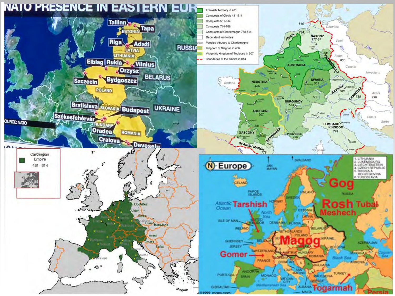